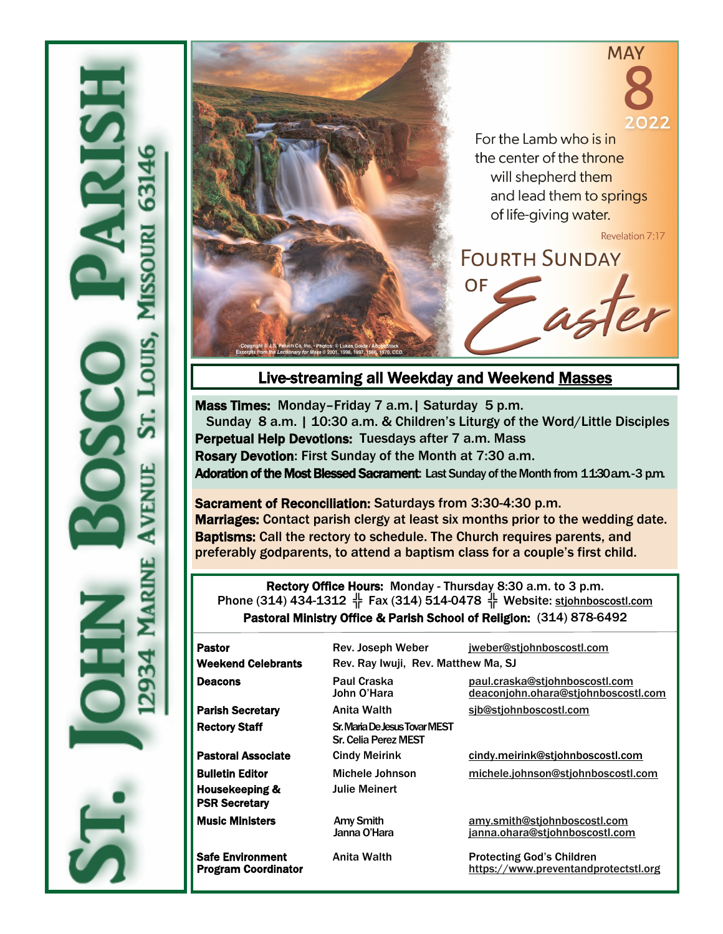



# Live-streaming all Weekday and Weekend [Masses](https://www.youtube.com/channel/UCeInmIj72DHhunWqpwKCYDw)

Mass Times: Monday–Friday 7 a.m.| Saturday 5 p.m. Sunday 8 a.m. | 10:30 a.m. & Children's Liturgy of the Word/Little Disciples Perpetual Help Devotions: Tuesdays after 7 a.m. Mass Rosary Devotion: First Sunday of the Month at 7:30 a.m. Adoration of the Most Blessed Sacrament: Last Sunday of the Month from 11:30 a.m. -3 p.m.

Sacrament of Reconciliation: Saturdays from 3:30-4:30 p.m. Marriages: Contact parish clergy at least six months prior to the wedding date. Baptisms: Call the rectory to schedule. The Church requires parents, and preferably godparents, to attend a baptism class for a couple's first child.

Rectory Office Hours: Monday - Thursday 8:30 a.m. to 3 p.m. Phone (314) 434-1312  $\frac{1}{3}$  Fax (314) 514-0478  $\frac{1}{3}$  Website: stjohnboscostl.com Pastoral Ministry Office & Parish School of Religion: (314) 878-6492

| <b>Pastor</b><br><b>Weekend Celebrants</b>                                  | Rev. Joseph Weber<br>Rev. Ray Iwuji, Rev. Matthew Ma, SJ     | jweber@stjohnboscostl.com                                             |
|-----------------------------------------------------------------------------|--------------------------------------------------------------|-----------------------------------------------------------------------|
| <b>Deacons</b>                                                              | Paul Craska<br>John O'Hara                                   | paul.craska@stjohnboscostl.com<br>deaconjohn.ohara@stjohnboscostl.com |
| <b>Parish Secretary</b>                                                     | Anita Walth                                                  | sib@stjohnboscostl.com                                                |
| <b>Rectory Staff</b>                                                        | Sr. Maria De Jesus Tovar MEST<br><b>Sr. Celia Perez MEST</b> |                                                                       |
| <b>Pastoral Associate</b>                                                   | <b>Cindy Meirink</b>                                         | cindy.meirink@stiohnboscostl.com                                      |
| <b>Bulletin Editor</b><br><b>Housekeeping &amp;</b><br><b>PSR Secretary</b> | Michele Johnson<br>Julie Meinert                             | michele.johnson@stjohnboscostl.com                                    |
| <b>Music Ministers</b>                                                      | <b>Amy Smith</b><br>Janna O'Hara                             | amy.smith@stjohnboscostl.com<br>janna.ohara@stjohnboscostl.com        |
| <b>Safe Environment</b>                                                     | Anita Walth                                                  | <b>Protecting God's Children</b>                                      |

Program Coordinator **<https://www.preventandprotectstl.org>**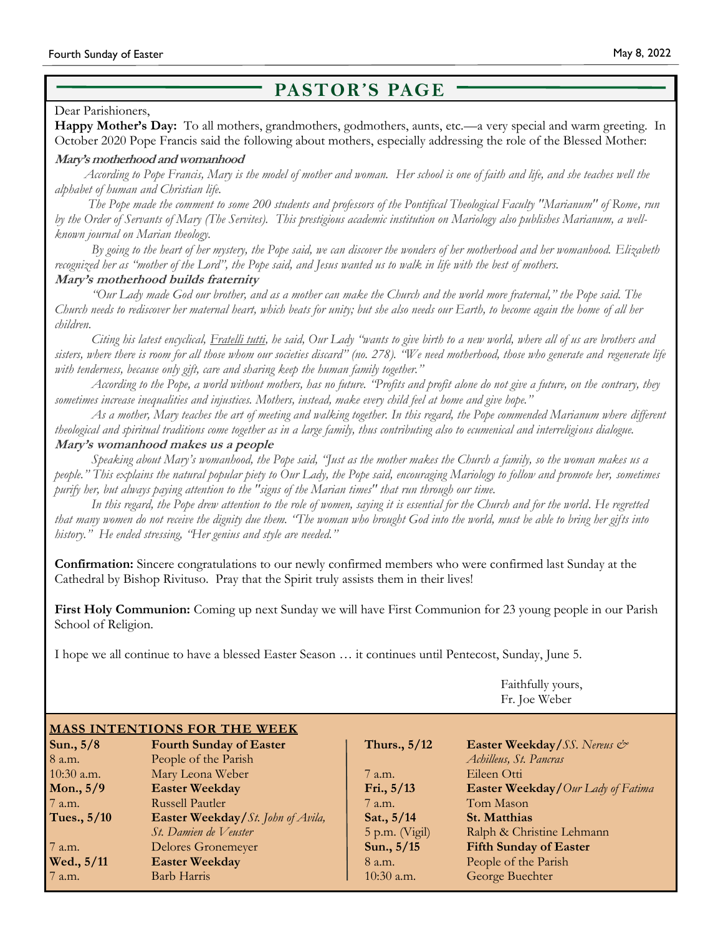# **PASTOR'S PAGE**

#### Dear Parishioners,

**Happy Mother's Day:** To all mothers, grandmothers, godmothers, aunts, etc.—a very special and warm greeting. In October 2020 Pope Francis said the following about mothers, especially addressing the role of the Blessed Mother:

#### **Mary's motherhood and womanhood**

*According to Pope Francis, Mary is the model of mother and woman. Her school is one of faith and life, and she teaches well the alphabet of human and Christian life.*

 *The Pope made the comment to some 200 students and professors of the Pontifical Theological Faculty "Marianum" of Rome, run by the Order of Servants of Mary (The Servites). This prestigious academic institution on Mariology also publishes Marianum, a wellknown journal on Marian theology.*

 *By going to the heart of her mystery, the Pope said, we can discover the wonders of her motherhood and her womanhood. Elizabeth recognized her as "mother of the Lord", the Pope said, and Jesus wanted us to walk in life with the best of mothers.*

#### **Mary's motherhood builds fraternity**

 *"Our Lady made God our brother, and as a mother can make the Church and the world more fraternal," the Pope said. The Church needs to rediscover her maternal heart, which beats for unity; but she also needs our Earth, to become again the home of all her children.*

 *Citing his latest encyclical, Fratelli tutti, he said, Our Lady "wants to give birth to a new world, where all of us are brothers and sisters, where there is room for all those whom our societies discard" (no. 278). "We need motherhood, those who generate and regenerate life with tenderness, because only gift, care and sharing keep the human family together."*

 *According to the Pope, a world without mothers, has no future. "Profits and profit alone do not give a future, on the contrary, they sometimes increase inequalities and injustices. Mothers, instead, make every child feel at home and give hope."*

 *As a mother, Mary teaches the art of meeting and walking together. In this regard, the Pope commended Marianum where different theological and spiritual traditions come together as in a large family, thus contributing also to ecumenical and interreligious dialogue.* **Mary's womanhood makes us a people**

*Speaking about Mary's womanhood, the Pope said, "Just as the mother makes the Church a family, so the woman makes us a people." This explains the natural popular piety to Our Lady, the Pope said, encouraging Mariology to follow and promote her, sometimes purify her, but always paying attention to the "signs of the Marian times" that run through our time.*

 *In this regard, the Pope drew attention to the role of women, saying it is essential for the Church and for the world. He regretted that many women do not receive the dignity due them. "The woman who brought God into the world, must be able to bring her gifts into history." He ended stressing, "Her genius and style are needed."*

**Confirmation:** Sincere congratulations to our newly confirmed members who were confirmed last Sunday at the Cathedral by Bishop Rivituso. Pray that the Spirit truly assists them in their lives!

**First Holy Communion:** Coming up next Sunday we will have First Communion for 23 young people in our Parish School of Religion.

I hope we all continue to have a blessed Easter Season … it continues until Pentecost, Sunday, June 5.

Faithfully yours, Fr. Joe Weber

| <b>MASS INTENTIONS FOR THE WEEK</b> |                                          |                  |                                          |  |  |
|-------------------------------------|------------------------------------------|------------------|------------------------------------------|--|--|
| Sun., $5/8$                         | <b>Fourth Sunday of Easter</b>           | Thurs., 5/12     | Easter Weekday/SS. Nereus &              |  |  |
| 8 a.m.                              | People of the Parish                     |                  | Achilleus, St. Pancras                   |  |  |
| $10:30$ a.m.                        | Mary Leona Weber                         | 7 a.m.           | Eileen Otti                              |  |  |
| Mon., $5/9$                         | <b>Easter Weekday</b>                    | Fri., $5/13$     | <b>Easter Weekday/Our Lady of Fatima</b> |  |  |
| 7 a.m.                              | <b>Russell Pautler</b>                   | 7 a.m.           | Tom Mason                                |  |  |
| Tues., 5/10                         | <b>Easter Weekday/St.</b> John of Avila, | Sat., 5/14       | St. Matthias                             |  |  |
|                                     | St. Damien de Veuster                    | $5$ p.m. (Vigil) | Ralph & Christine Lehmann                |  |  |
| 7 a.m.                              | <b>Delores Gronemeyer</b>                | Sun., 5/15       | <b>Fifth Sunday of Easter</b>            |  |  |
| Wed., 5/11                          | <b>Easter Weekday</b>                    | 8 a.m.           | People of the Parish                     |  |  |
| 7 a.m.                              | Barb Harris                              | $10:30$ a.m.     | George Buechter                          |  |  |